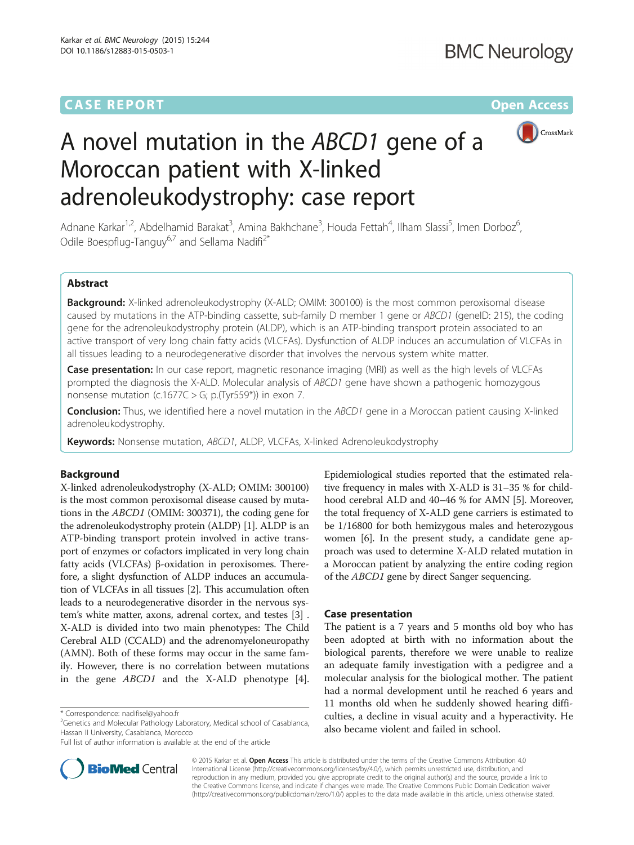# **CASE REPORT CASE ACCESS**



# A novel mutation in the ABCD1 gene of a Moroccan patient with X-linked adrenoleukodystrophy: case report

Adnane Karkar<sup>1,2</sup>, Abdelhamid Barakat<sup>3</sup>, Amina Bakhchane<sup>3</sup>, Houda Fettah<sup>4</sup>, Ilham Slassi<sup>5</sup>, Imen Dorboz<sup>6</sup> , Odile Boespflug-Tanguy<sup>6,7</sup> and Sellama Nadifi<sup>2\*</sup>

### Abstract

Background: X-linked adrenoleukodystrophy (X-ALD; OMIM: 300100) is the most common peroxisomal disease caused by mutations in the ATP-binding cassette, sub-family D member 1 gene or ABCD1 (geneID: 215), the coding gene for the adrenoleukodystrophy protein (ALDP), which is an ATP-binding transport protein associated to an active transport of very long chain fatty acids (VLCFAs). Dysfunction of ALDP induces an accumulation of VLCFAs in all tissues leading to a neurodegenerative disorder that involves the nervous system white matter.

Case presentation: In our case report, magnetic resonance imaging (MRI) as well as the high levels of VLCFAs prompted the diagnosis the X-ALD. Molecular analysis of ABCD1 gene have shown a pathogenic homozygous nonsense mutation (c.1677 $C > G$ ; p.(Tyr559\*)) in exon 7.

Conclusion: Thus, we identified here a novel mutation in the ABCD1 gene in a Moroccan patient causing X-linked adrenoleukodystrophy.

Keywords: Nonsense mutation, ABCD1, ALDP, VLCFAs, X-linked Adrenoleukodystrophy

### Background

X-linked adrenoleukodystrophy (X-ALD; OMIM: 300100) is the most common peroxisomal disease caused by mutations in the ABCD1 (OMIM: 300371), the coding gene for the adrenoleukodystrophy protein (ALDP) [\[1\]](#page-3-0). ALDP is an ATP-binding transport protein involved in active transport of enzymes or cofactors implicated in very long chain fatty acids (VLCFAs) β-oxidation in peroxisomes. Therefore, a slight dysfunction of ALDP induces an accumulation of VLCFAs in all tissues [\[2\]](#page-3-0). This accumulation often leads to a neurodegenerative disorder in the nervous system's white matter, axons, adrenal cortex, and testes [\[3\]](#page-3-0) . X-ALD is divided into two main phenotypes: The Child Cerebral ALD (CCALD) and the adrenomyeloneuropathy (AMN). Both of these forms may occur in the same family. However, there is no correlation between mutations in the gene ABCD1 and the X-ALD phenotype [[4](#page-3-0)].



#### Case presentation

The patient is a 7 years and 5 months old boy who has been adopted at birth with no information about the biological parents, therefore we were unable to realize an adequate family investigation with a pedigree and a molecular analysis for the biological mother. The patient had a normal development until he reached 6 years and 11 months old when he suddenly showed hearing difficulties, a decline in visual acuity and a hyperactivity. He also became violent and failed in school.



© 2015 Karkar et al. Open Access This article is distributed under the terms of the Creative Commons Attribution 4.0 International License [\(http://creativecommons.org/licenses/by/4.0/](http://creativecommons.org/licenses/by/4.0/)), which permits unrestricted use, distribution, and reproduction in any medium, provided you give appropriate credit to the original author(s) and the source, provide a link to the Creative Commons license, and indicate if changes were made. The Creative Commons Public Domain Dedication waiver [\(http://creativecommons.org/publicdomain/zero/1.0/](http://creativecommons.org/publicdomain/zero/1.0/)) applies to the data made available in this article, unless otherwise stated.

<sup>\*</sup> Correspondence: [nadifisel@yahoo.fr](mailto:nadifisel@yahoo.fr) <sup>2</sup>

 $^{2}$ Genetics and Molecular Pathology Laboratory, Medical school of Casablanca, Hassan II University, Casablanca, Morocco

Full list of author information is available at the end of the article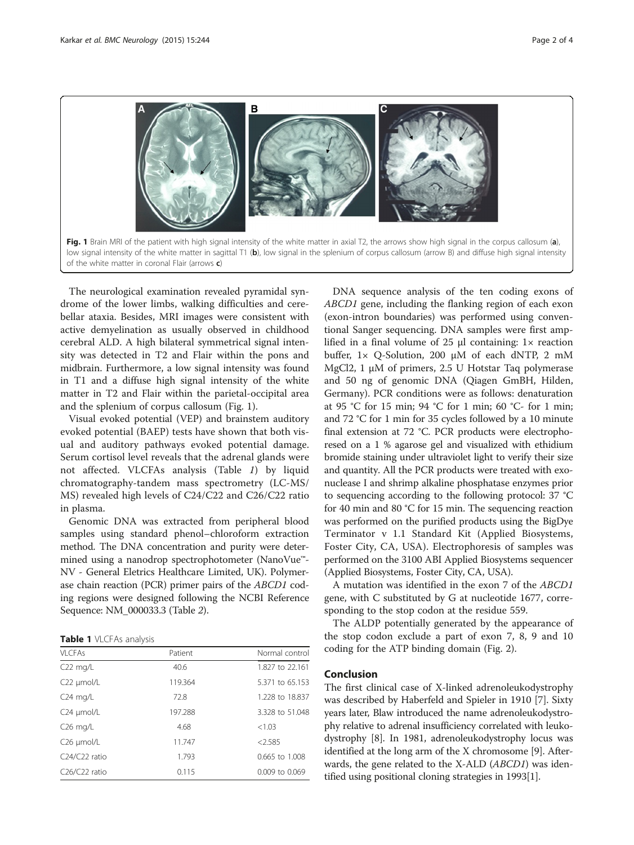

The neurological examination revealed pyramidal syndrome of the lower limbs, walking difficulties and cerebellar ataxia. Besides, MRI images were consistent with active demyelination as usually observed in childhood cerebral ALD. A high bilateral symmetrical signal intensity was detected in T2 and Flair within the pons and midbrain. Furthermore, a low signal intensity was found in T1 and a diffuse high signal intensity of the white matter in T2 and Flair within the parietal-occipital area and the splenium of corpus callosum (Fig. 1).

Visual evoked potential (VEP) and brainstem auditory evoked potential (BAEP) tests have shown that both visual and auditory pathways evoked potential damage. Serum cortisol level reveals that the adrenal glands were not affected. VLCFAs analysis (Table 1) by liquid chromatography-tandem mass spectrometry (LC-MS/ MS) revealed high levels of C24/C22 and C26/C22 ratio in plasma.

Genomic DNA was extracted from peripheral blood samples using standard phenol–chloroform extraction method. The DNA concentration and purity were determined using a nanodrop spectrophotometer (NanoVue™- NV - General Eletrics Healthcare Limited, UK). Polymerase chain reaction (PCR) primer pairs of the ABCD1 coding regions were designed following the NCBI Reference Sequence: NM\_000033.3 (Table [2](#page-2-0)).

Table 1 VLCFAs analysis

| VI CFAs                                | Patient | Normal control     |
|----------------------------------------|---------|--------------------|
| $C22$ mg/L                             | 40.6    | 1.827 to 22.161    |
| $C22 \mu mol/L$                        | 119.364 | 5.371 to 65.153    |
| $C24$ mg/L                             | 72.8    | 1.228 to 18.837    |
| $C24 \mu mol/L$                        | 197.288 | 3.328 to 51.048    |
| $C26$ mg/L                             | 4.68    | <1.03              |
| C <sub>26</sub> µmol/L                 | 11.747  | < 2.585            |
| $C24/C22$ ratio                        | 1.793   | $0.665$ to $1.008$ |
| C <sub>26</sub> /C <sub>22</sub> ratio | 0.115   | 0.009 to 0.069     |

DNA sequence analysis of the ten coding exons of ABCD1 gene, including the flanking region of each exon (exon-intron boundaries) was performed using conventional Sanger sequencing. DNA samples were first amplified in a final volume of 25 μl containing: 1× reaction buffer, 1× Q-Solution, 200 μM of each dNTP, 2 mM MgCl2, 1 μM of primers, 2.5 U Hotstar Taq polymerase and 50 ng of genomic DNA (Qiagen GmBH, Hilden, Germany). PCR conditions were as follows: denaturation at 95 °C for 15 min; 94 °C for 1 min; 60 °C- for 1 min; and 72 °C for 1 min for 35 cycles followed by a 10 minute final extension at 72 °C. PCR products were electrophoresed on a 1 % agarose gel and visualized with ethidium bromide staining under ultraviolet light to verify their size and quantity. All the PCR products were treated with exonuclease I and shrimp alkaline phosphatase enzymes prior to sequencing according to the following protocol: 37 °C for 40 min and 80 °C for 15 min. The sequencing reaction was performed on the purified products using the BigDye Terminator v 1.1 Standard Kit (Applied Biosystems, Foster City, CA, USA). Electrophoresis of samples was performed on the 3100 ABI Applied Biosystems sequencer (Applied Biosystems, Foster City, CA, USA).

A mutation was identified in the exon 7 of the ABCD1 gene, with C substituted by G at nucleotide 1677, corresponding to the stop codon at the residue 559.

The ALDP potentially generated by the appearance of the stop codon exclude a part of exon 7, 8, 9 and 10 coding for the ATP binding domain (Fig. [2](#page-2-0)).

#### Conclusion

The first clinical case of X-linked adrenoleukodystrophy was described by Haberfeld and Spieler in 1910 [\[7](#page-3-0)]. Sixty years later, Blaw introduced the name adrenoleukodystrophy relative to adrenal insufficiency correlated with leukodystrophy [[8\]](#page-3-0). In 1981, adrenoleukodystrophy locus was identified at the long arm of the X chromosome [\[9\]](#page-3-0). Afterwards, the gene related to the X-ALD (ABCD1) was identified using positional cloning strategies in 1993[\[1\]](#page-3-0).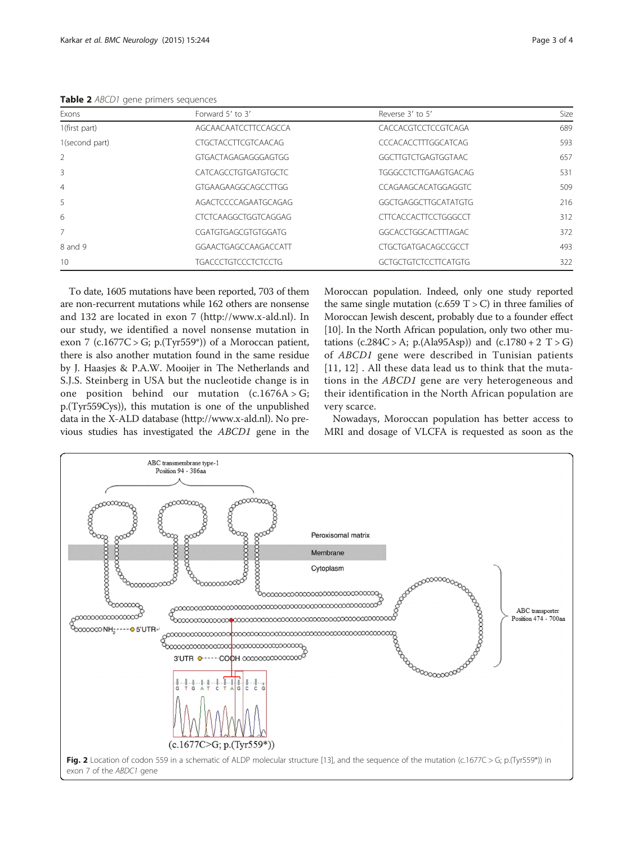<span id="page-2-0"></span>Table 2 ABCD1 gene primers sequences

| Exons                    | Forward 5' to 3'            | Reverse 3' to 5'            | Size |
|--------------------------|-----------------------------|-----------------------------|------|
| 1(first part)            | AGCAACAATCCTTCCAGCCA        | CACCACGTCCTCCGTCAGA         | 689  |
| 1(second part)           | <b>CTGCTACCTTCGTCAACAG</b>  | CCCACACCTTTGGCATCAG         | 593  |
| $\overline{\phantom{a}}$ | GTGACTAGAGAGGGAGTGG         | GGCTTGTCTGAGTGGTAAC         | 657  |
| 3                        | <b>CATCAGCCTGTGATGTGCTC</b> | <b>TGGGCCTCTTGAAGTGACAG</b> | 531  |
| $\overline{4}$           | GTGAAGAAGGCAGCCTTGG         | CCAGAAGCACATGGAGGTC         | 509  |
| .5                       | AGACTCCCCAGAATGCAGAG        | GGCTGAGGCTTGCATATGTG        | 216  |
| 6                        | CTCTCAAGGCTGGTCAGGAG        | CITCACCACITCCTGGGCCT        | 312  |
|                          | CGATGTGAGCGTGTGGATG         | GGCACCTGGCACTTTAGAC         | 372  |
| 8 and 9                  | GGAACTGAGCCAAGACCATT        | CTGCTGATGACAGCCGCCT         | 493  |
| 10                       | TGACCCTGTCCCTCTCCTG         | <b>GCTGCTGTCTCCTTCATGTG</b> | 322  |

To date, 1605 mutations have been reported, 703 of them are non-recurrent mutations while 162 others are nonsense and 132 are located in exon 7 [\(http://www.x-ald.nl\)](http://www.x-ald.nl). In our study, we identified a novel nonsense mutation in exon 7 (c.1677C > G; p.(Tyr559\*)) of a Moroccan patient, there is also another mutation found in the same residue by J. Haasjes & P.A.W. Mooijer in The Netherlands and S.J.S. Steinberg in USA but the nucleotide change is in one position behind our mutation  $(c.1676A > G;$ p.(Tyr559Cys)), this mutation is one of the unpublished data in the X-ALD database [\(http://www.x-ald.nl](http://www.x-ald.nl)). No previous studies has investigated the ABCD1 gene in the Moroccan population. Indeed, only one study reported the same single mutation (c.659  $T > C$ ) in three families of Moroccan Jewish descent, probably due to a founder effect [[10](#page-3-0)]. In the North African population, only two other mutations  $(c.284C > A; p.(Ala95Asp))$  and  $(c.1780 + 2 T > G)$ of ABCD1 gene were described in Tunisian patients [[11](#page-3-0), [12\]](#page-3-0). All these data lead us to think that the mutations in the ABCD1 gene are very heterogeneous and their identification in the North African population are very scarce.

Nowadays, Moroccan population has better access to MRI and dosage of VLCFA is requested as soon as the